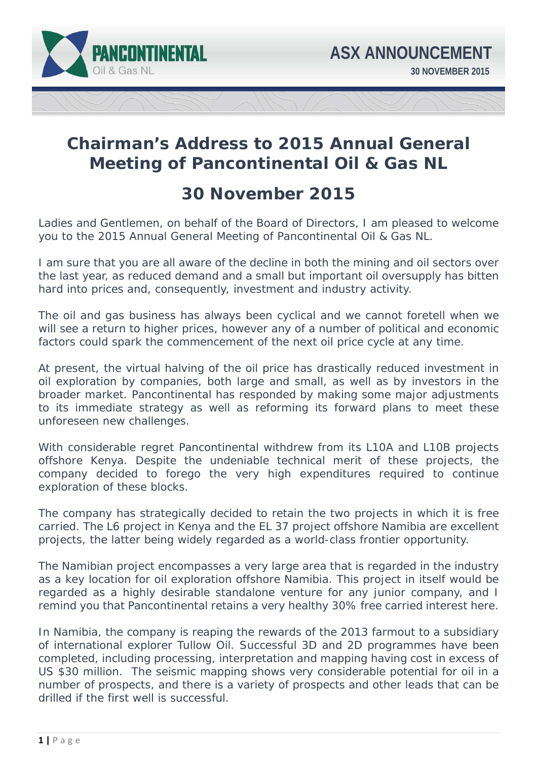

# **Chairman's Address to 2015 Annual General Meeting of Pancontinental Oil & Gas NL**

## **30 November 2015**

Ladies and Gentlemen, on behalf of the Board of Directors, I am pleased to welcome you to the 2015 Annual General Meeting of Pancontinental Oil & Gas NL.

I am sure that you are all aware of the decline in both the mining and oil sectors over the last year, as reduced demand and a small but important oil oversupply has bitten hard into prices and, consequently, investment and industry activity.

The oil and gas business has always been cyclical and we cannot foretell when we will see a return to higher prices, however any of a number of political and economic factors could spark the commencement of the next oil price cycle at any time.

At present, the virtual halving of the oil price has drastically reduced investment in oil exploration by companies, both large and small, as well as by investors in the broader market. Pancontinental has responded by making some major adjustments to its immediate strategy as well as reforming its forward plans to meet these unforeseen new challenges.

With considerable regret Pancontinental withdrew from its L10A and L10B projects offshore Kenya. Despite the undeniable technical merit of these projects, the company decided to forego the very high expenditures required to continue exploration of these blocks.

The company has strategically decided to retain the two projects in which it is free carried. The L6 project in Kenya and the EL 37 project offshore Namibia are excellent projects, the latter being widely regarded as a world-class frontier opportunity.

The Namibian project encompasses a very large area that is regarded in the industry as a key location for oil exploration offshore Namibia. This project in itself would be regarded as a highly desirable standalone venture for any junior company, and I remind you that Pancontinental retains a very healthy 30% free carried interest here.

In Namibia, the company is reaping the rewards of the 2013 farmout to a subsidiary of international explorer Tullow Oil. Successful 3D and 2D programmes have been completed, including processing, interpretation and mapping having cost in excess of US \$30 million. The seismic mapping shows very considerable potential for oil in a number of prospects, and there is a variety of prospects and other leads that can be drilled if the first well is successful.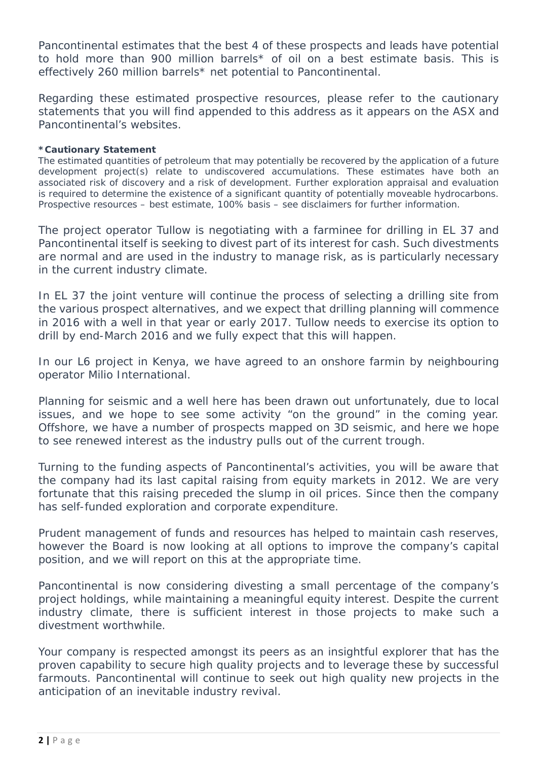Pancontinental estimates that the best 4 of these prospects and leads have potential to hold more than 900 million barrels\* of oil on a best estimate basis. This is effectively 260 million barrels\* net potential to Pancontinental.

Regarding these estimated prospective resources, please refer to the cautionary statements that you will find appended to this address as it appears on the ASX and Pancontinental's websites.

### *\*Cautionary Statement*

 *The estimated quantities of petroleum that may potentially be recovered by the application of a future development project(s) relate to undiscovered accumulations. These estimates have both an associated risk of discovery and a risk of development. Further exploration appraisal and evaluation is required to determine the existence of a significant quantity of potentially moveable hydrocarbons. Prospective resources – best estimate, 100% basis – see disclaimers for further information.* 

The project operator Tullow is negotiating with a farminee for drilling in EL 37 and Pancontinental itself is seeking to divest part of its interest for cash. Such divestments are normal and are used in the industry to manage risk, as is particularly necessary in the current industry climate.

In EL 37 the joint venture will continue the process of selecting a drilling site from the various prospect alternatives, and we expect that drilling planning will commence in 2016 with a well in that year or early 2017. Tullow needs to exercise its option to drill by end-March 2016 and we fully expect that this will happen.

In our L6 project in Kenya, we have agreed to an onshore farmin by neighbouring operator Milio International.

Planning for seismic and a well here has been drawn out unfortunately, due to local issues, and we hope to see some activity "on the ground" in the coming year. Offshore, we have a number of prospects mapped on 3D seismic, and here we hope to see renewed interest as the industry pulls out of the current trough.

Turning to the funding aspects of Pancontinental's activities, you will be aware that the company had its last capital raising from equity markets in 2012. We are very fortunate that this raising preceded the slump in oil prices. Since then the company has self-funded exploration and corporate expenditure.

Prudent management of funds and resources has helped to maintain cash reserves, however the Board is now looking at all options to improve the company's capital position, and we will report on this at the appropriate time.

Pancontinental is now considering divesting a small percentage of the company's project holdings, while maintaining a meaningful equity interest. Despite the current industry climate, there is sufficient interest in those projects to make such a divestment worthwhile.

Your company is respected amongst its peers as an insightful explorer that has the proven capability to secure high quality projects and to leverage these by successful farmouts. Pancontinental will continue to seek out high quality new projects in the anticipation of an inevitable industry revival.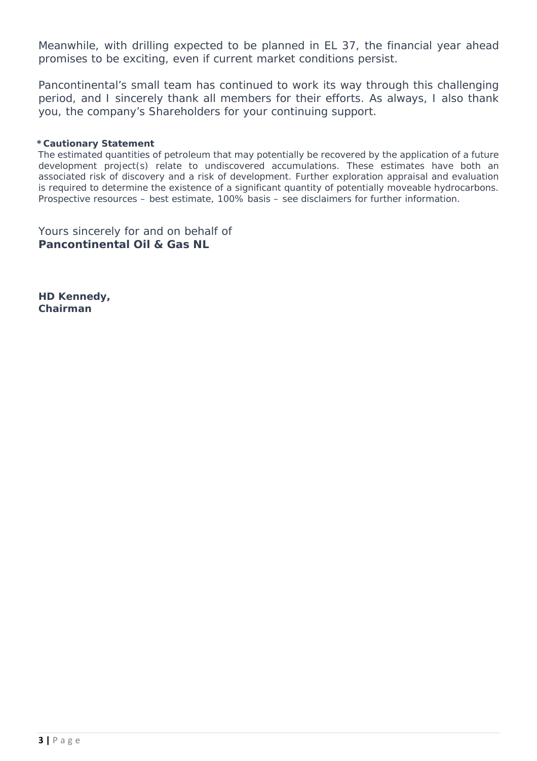Meanwhile, with drilling expected to be planned in EL 37, the financial year ahead promises to be exciting, even if current market conditions persist.

Pancontinental's small team has continued to work its way through this challenging period, and I sincerely thank all members for their efforts. As always, I also thank you, the company's Shareholders for your continuing support.

### *\*Cautionary Statement*

 *The estimated quantities of petroleum that may potentially be recovered by the application of a future development project(s) relate to undiscovered accumulations. These estimates have both an associated risk of discovery and a risk of development. Further exploration appraisal and evaluation is required to determine the existence of a significant quantity of potentially moveable hydrocarbons. Prospective resources – best estimate, 100% basis – see disclaimers for further information.* 

Yours sincerely for and on behalf of **Pancontinental Oil & Gas NL** 

**HD Kennedy, Chairman**